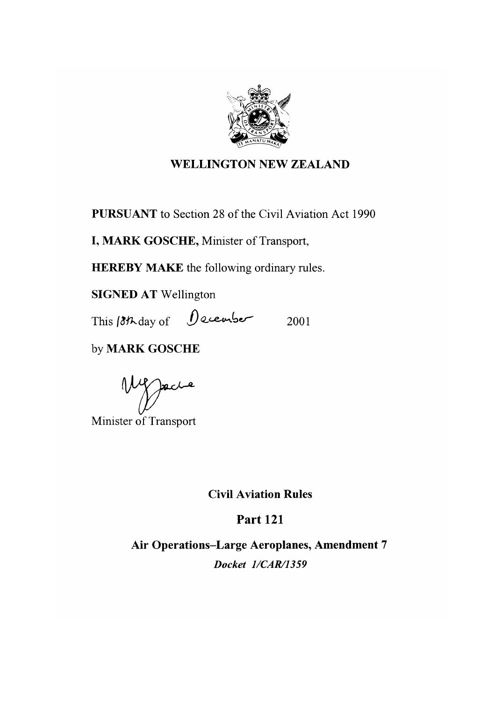

#### **WELLINGTON NEW ZEALAND**

**PURSUANT** to Section 28 of the Civil Aviation Act 1990

I, MARK GOSCHE, Minister of Transport,

**HEREBY MAKE** the following ordinary rules.

**SIGNED AT Wellington** 

This 18th day of December 2001

by MARK GOSCHE

Wester

Minister of Transport

**Civil Aviation Rules** 

**Part 121** 

Air Operations-Large Aeroplanes, Amendment 7 Docket 1/CAR/1359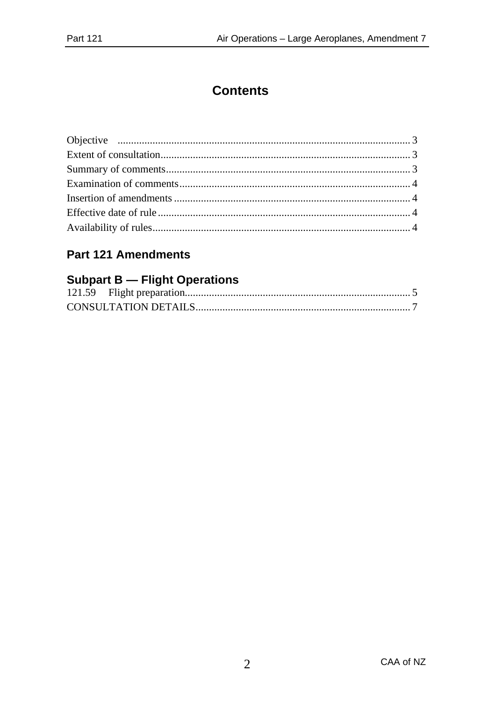### **Contents**

### **Part 121 Amendments**

#### **Subpart B - Flight Operations**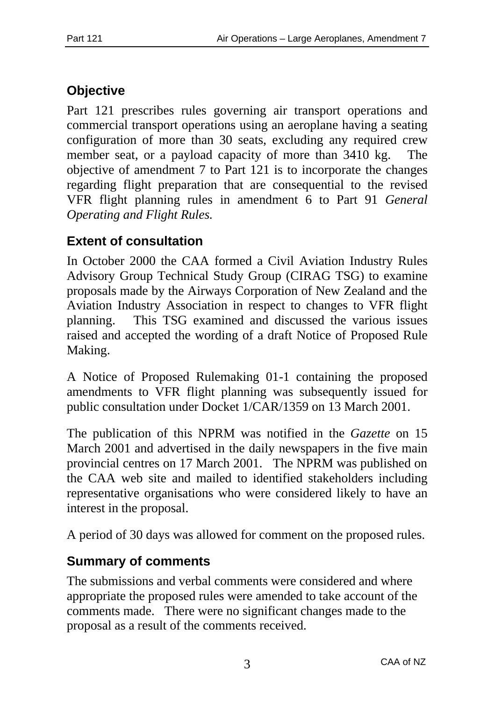# **Objective**

Part 121 prescribes rules governing air transport operations and commercial transport operations using an aeroplane having a seating configuration of more than 30 seats, excluding any required crew member seat, or a payload capacity of more than 3410 kg. The objective of amendment 7 to Part 121 is to incorporate the changes regarding flight preparation that are consequential to the revised VFR flight planning rules in amendment 6 to Part 91 *General Operating and Flight Rules.*

## **Extent of consultation**

In October 2000 the CAA formed a Civil Aviation Industry Rules Advisory Group Technical Study Group (CIRAG TSG) to examine proposals made by the Airways Corporation of New Zealand and the Aviation Industry Association in respect to changes to VFR flight planning. This TSG examined and discussed the various issues raised and accepted the wording of a draft Notice of Proposed Rule Making.

A Notice of Proposed Rulemaking 01-1 containing the proposed amendments to VFR flight planning was subsequently issued for public consultation under Docket 1/CAR/1359 on 13 March 2001.

The publication of this NPRM was notified in the *Gazette* on 15 March 2001 and advertised in the daily newspapers in the five main provincial centres on 17 March 2001. The NPRM was published on the CAA web site and mailed to identified stakeholders including representative organisations who were considered likely to have an interest in the proposal.

A period of 30 days was allowed for comment on the proposed rules.

### **Summary of comments**

The submissions and verbal comments were considered and where appropriate the proposed rules were amended to take account of the comments made. There were no significant changes made to the proposal as a result of the comments received.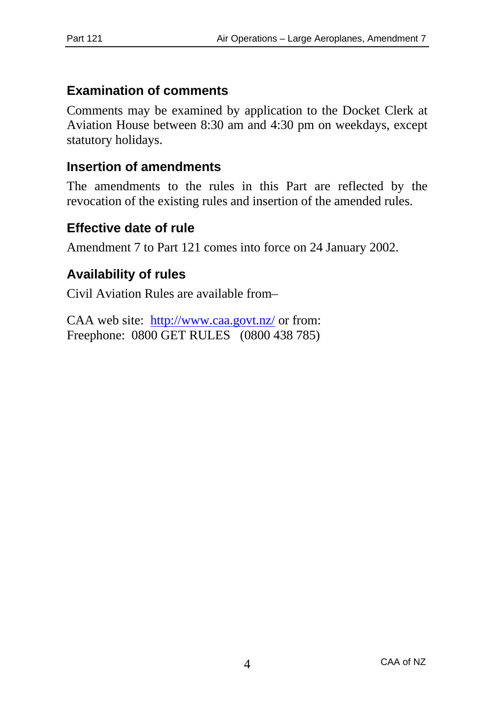### **Examination of comments**

Comments may be examined by application to the Docket Clerk at Aviation House between 8:30 am and 4:30 pm on weekdays, except statutory holidays.

### **Insertion of amendments**

The amendments to the rules in this Part are reflected by the revocation of the existing rules and insertion of the amended rules.

### **Effective date of rule**

Amendment 7 to Part 121 comes into force on 24 January 2002.

### **Availability of rules**

Civil Aviation Rules are available from–

CAA web site: http://www.caa.govt.nz/ or from: Freephone: 0800 GET RULES (0800 438 785)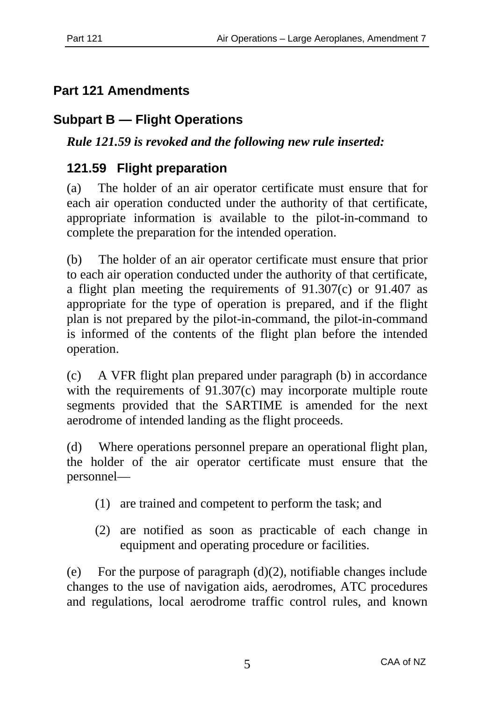## **Part 121 Amendments**

## **Subpart B — Flight Operations**

*Rule 121.59 is revoked and the following new rule inserted:*

## **121.59 Flight preparation**

(a) The holder of an air operator certificate must ensure that for each air operation conducted under the authority of that certificate, appropriate information is available to the pilot-in-command to complete the preparation for the intended operation.

(b) The holder of an air operator certificate must ensure that prior to each air operation conducted under the authority of that certificate, a flight plan meeting the requirements of 91.307(c) or 91.407 as appropriate for the type of operation is prepared, and if the flight plan is not prepared by the pilot-in-command, the pilot-in-command is informed of the contents of the flight plan before the intended operation.

(c) A VFR flight plan prepared under paragraph (b) in accordance with the requirements of 91.307(c) may incorporate multiple route segments provided that the SARTIME is amended for the next aerodrome of intended landing as the flight proceeds.

(d) Where operations personnel prepare an operational flight plan, the holder of the air operator certificate must ensure that the personnel—

- (1) are trained and competent to perform the task; and
- (2) are notified as soon as practicable of each change in equipment and operating procedure or facilities.

(e) For the purpose of paragraph  $(d)(2)$ , notifiable changes include changes to the use of navigation aids, aerodromes, ATC procedures and regulations, local aerodrome traffic control rules, and known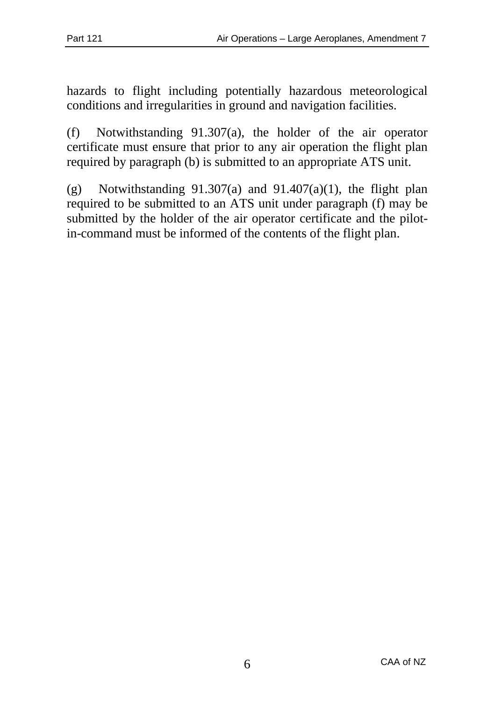hazards to flight including potentially hazardous meteorological conditions and irregularities in ground and navigation facilities.

(f) Notwithstanding 91.307(a), the holder of the air operator certificate must ensure that prior to any air operation the flight plan required by paragraph (b) is submitted to an appropriate ATS unit.

(g) Notwithstanding  $91.307(a)$  and  $91.407(a)(1)$ , the flight plan required to be submitted to an ATS unit under paragraph (f) may be submitted by the holder of the air operator certificate and the pilotin-command must be informed of the contents of the flight plan.